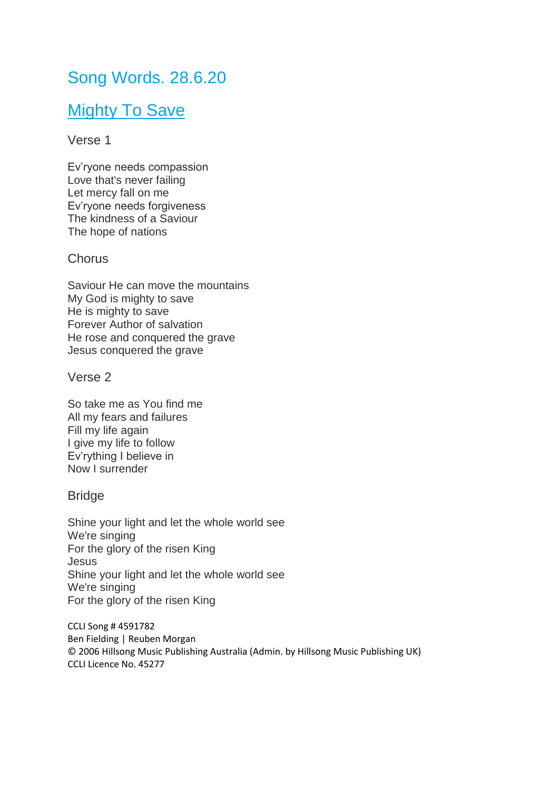# Song Words. 28.6.20

### **Mighty To Save**

#### Verse 1

Ev'ryone needs compassion Love that's never failing Let mercy fall on me Ev'ryone needs forgiveness The kindness of a Saviour The hope of nations

#### **Chorus**

Saviour He can move the mountains My God is mighty to save He is mighty to save Forever Author of salvation He rose and conquered the grave Jesus conquered the grave

#### Verse 2

So take me as You find me All my fears and failures Fill my life again I give my life to follow Ev'rything I believe in Now I surrender

#### Bridge

Shine your light and let the whole world see We're singing For the glory of the risen King Jesus Shine your light and let the whole world see We're singing For the glory of the risen King

CCLI Song # 4591782 Ben Fielding | Reuben Morgan © 2006 Hillsong Music Publishing Australia (Admin. by Hillsong Music Publishing UK) CCLI Licence No. 45277